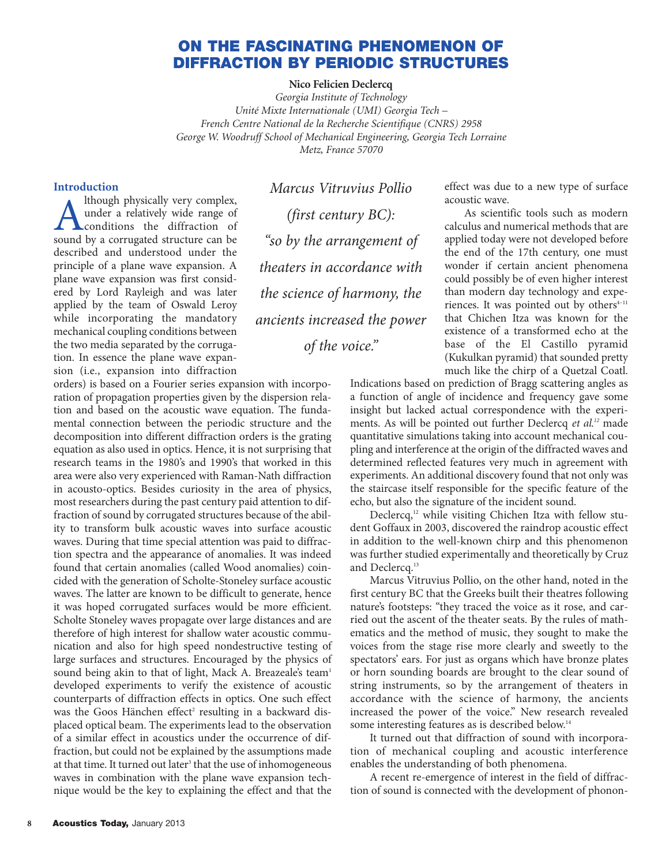## **ON THE FASCINATING PHENOMENON OF DIFFRACTION BY PERIODIC STRUCTURES**

### **Nico Felicien Declercq**

*Georgia Institute of Technology Unité Mixte Internationale (UMI) Georgia Tech – French Centre National de la Recherche Scientifique (CNRS) 2958 George W. Woodruff School of Mechanical Engineering, Georgia Tech Lorraine Metz, France 57070*

Marcus Vitruvius Pollio

### **Introduction**

A lthough physically very complex,<br>
under a relatively wide range of<br>
conditions the diffraction of<br>
sound by a corrugated structure can be under a relatively wide range of conditions the diffraction of sound by a corrugated structure can be described and understood under the principle of a plane wave expansion. A plane wave expansion was first considered by Lord Rayleigh and was later applied by the team of Oswald Leroy while incorporating the mandatory mechanical coupling conditions between the two media separated by the corrugation. In essence the plane wave expansion (i.e., expansion into diffraction

(first century BC): "so by the arrangement of theaters in accordance with the science of harmony, the ancients increased the power of the voice."

orders) is based on a Fourier series expansion with incorporation of propagation properties given by the dispersion relation and based on the acoustic wave equation. The fundamental connection between the periodic structure and the decomposition into different diffraction orders is the grating equation as also used in optics. Hence, it is not surprising that research teams in the 1980's and 1990's that worked in this area were also very experienced with Raman-Nath diffraction in acousto-optics. Besides curiosity in the area of physics, most researchers during the past century paid attention to diffraction of sound by corrugated structures because of the ability to transform bulk acoustic waves into surface acoustic waves. During that time special attention was paid to diffraction spectra and the appearance of anomalies. It was indeed found that certain anomalies (called Wood anomalies) coincided with the generation of Scholte-Stoneley surface acoustic waves. The latter are known to be difficult to generate, hence it was hoped corrugated surfaces would be more efficient. Scholte Stoneley waves propagate over large distances and are therefore of high interest for shallow water acoustic communication and also for high speed nondestructive testing of large surfaces and structures. Encouraged by the physics of sound being akin to that of light, Mack A. Breazeale's team1 developed experiments to verify the existence of acoustic counterparts of diffraction effects in optics. One such effect was the Goos Hänchen effect<sup>2</sup> resulting in a backward displaced optical beam. The experiments lead to the observation of a similar effect in acoustics under the occurrence of diffraction, but could not be explained by the assumptions made at that time. It turned out later<sup>3</sup> that the use of inhomogeneous waves in combination with the plane wave expansion technique would be the key to explaining the effect and that the

effect was due to a new type of surface acoustic wave.

As scientific tools such as modern calculus and numerical methods that are applied today were not developed before the end of the 17th century, one must wonder if certain ancient phenomena could possibly be of even higher interest than modern day technology and experiences. It was pointed out by others $4-11$ that Chichen Itza was known for the existence of a transformed echo at the base of the El Castillo pyramid (Kukulkan pyramid) that sounded pretty much like the chirp of a Quetzal Coatl.

Indications based on prediction of Bragg scattering angles as a function of angle of incidence and frequency gave some insight but lacked actual correspondence with the experiments. As will be pointed out further Declercq et al.<sup>12</sup> made quantitative simulations taking into account mechanical coupling and interference at the origin of the diffracted waves and determined reflected features very much in agreement with experiments. An additional discovery found that not only was the staircase itself responsible for the specific feature of the echo, but also the signature of the incident sound.

Declercq,<sup>12</sup> while visiting Chichen Itza with fellow student Goffaux in 2003, discovered the raindrop acoustic effect in addition to the well-known chirp and this phenomenon was further studied experimentally and theoretically by Cruz and Declercq.<sup>13</sup>

Marcus Vitruvius Pollio, on the other hand, noted in the first century BC that the Greeks built their theatres following nature's footsteps: "they traced the voice as it rose, and carried out the ascent of the theater seats. By the rules of mathematics and the method of music, they sought to make the voices from the stage rise more clearly and sweetly to the spectators' ears. For just as organs which have bronze plates or horn sounding boards are brought to the clear sound of string instruments, so by the arrangement of theaters in accordance with the science of harmony, the ancients increased the power of the voice." New research revealed some interesting features as is described below.<sup>14</sup>

It turned out that diffraction of sound with incorporation of mechanical coupling and acoustic interference enables the understanding of both phenomena.

A recent re-emergence of interest in the field of diffraction of sound is connected with the development of phonon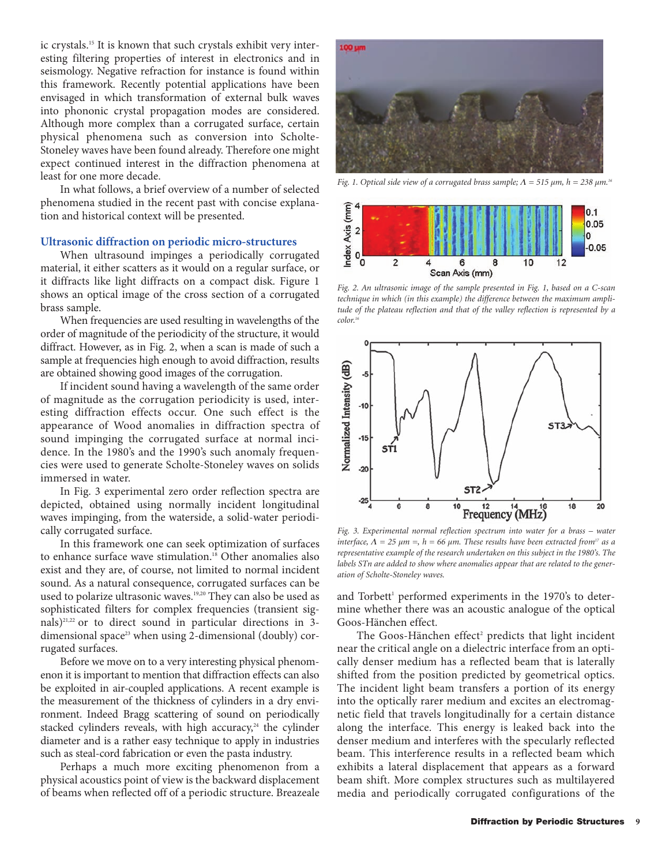ic crystals.15 It is known that such crystals exhibit very interesting filtering properties of interest in electronics and in seismology. Negative refraction for instance is found within this framework. Recently potential applications have been envisaged in which transformation of external bulk waves into phononic crystal propagation modes are considered. Although more complex than a corrugated surface, certain physical phenomena such as conversion into Scholte-Stoneley waves have been found already. Therefore one might expect continued interest in the diffraction phenomena at least for one more decade.

In what follows, a brief overview of a number of selected phenomena studied in the recent past with concise explanation and historical context will be presented.

#### **Ultrasonic diffraction on periodic micro-structures**

When ultrasound impinges a periodically corrugated material, it either scatters as it would on a regular surface, or it diffracts like light diffracts on a compact disk. Figure 1 shows an optical image of the cross section of a corrugated brass sample.

When frequencies are used resulting in wavelengths of the order of magnitude of the periodicity of the structure, it would diffract. However, as in Fig. 2, when a scan is made of such a sample at frequencies high enough to avoid diffraction, results are obtained showing good images of the corrugation.

If incident sound having a wavelength of the same order of magnitude as the corrugation periodicity is used, interesting diffraction effects occur. One such effect is the appearance of Wood anomalies in diffraction spectra of sound impinging the corrugated surface at normal incidence. In the 1980's and the 1990's such anomaly frequencies were used to generate Scholte-Stoneley waves on solids immersed in water.

In Fig. 3 experimental zero order reflection spectra are depicted, obtained using normally incident longitudinal waves impinging, from the waterside, a solid-water periodically corrugated surface.

In this framework one can seek optimization of surfaces to enhance surface wave stimulation.<sup>18</sup> Other anomalies also exist and they are, of course, not limited to normal incident sound. As a natural consequence, corrugated surfaces can be used to polarize ultrasonic waves.<sup>19,20</sup> They can also be used as sophisticated filters for complex frequencies (transient signals) $^{21,22}$  or to direct sound in particular directions in 3dimensional space<sup>23</sup> when using 2-dimensional (doubly) corrugated surfaces.

Before we move on to a very interesting physical phenomenon it is important to mention that diffraction effects can also be exploited in air-coupled applications. A recent example is the measurement of the thickness of cylinders in a dry environment. Indeed Bragg scattering of sound on periodically stacked cylinders reveals, with high accuracy, $24$  the cylinder diameter and is a rather easy technique to apply in industries such as steal-cord fabrication or even the pasta industry.

Perhaps a much more exciting phenomenon from a physical acoustics point of view is the backward displacement of beams when reflected off of a periodic structure. Breazeale



*Fig. 1. Optical side view of a corrugated brass sample;* Λ *= 515 µm, h = 238 µm.16*



*Fig. 2. An ultrasonic image of the sample presented in Fig. 1, based on a C-scan technique in which (in this example) the difference between the maximum amplitude of the plateau reflection and that of the valley reflection is represented by a color.16*



*Fig. 3. Experimental normal reflection spectrum into water for a brass – water interface,*  $\Lambda = 25 \mu m =$ ,  $h = 66 \mu m$ . These results have been extracted from<sup>17</sup> as a *representative example of the research undertaken on this subject in the 1980's. The labels STn are added to show where anomalies appear that are related to the generation of Scholte-Stoneley waves.*

and Torbett<sup>1</sup> performed experiments in the 1970's to determine whether there was an acoustic analogue of the optical Goos-Hänchen effect.

The Goos-Hänchen effect $2$  predicts that light incident near the critical angle on a dielectric interface from an optically denser medium has a reflected beam that is laterally shifted from the position predicted by geometrical optics. The incident light beam transfers a portion of its energy into the optically rarer medium and excites an electromagnetic field that travels longitudinally for a certain distance along the interface. This energy is leaked back into the denser medium and interferes with the specularly reflected beam. This interference results in a reflected beam which exhibits a lateral displacement that appears as a forward beam shift. More complex structures such as multilayered media and periodically corrugated configurations of the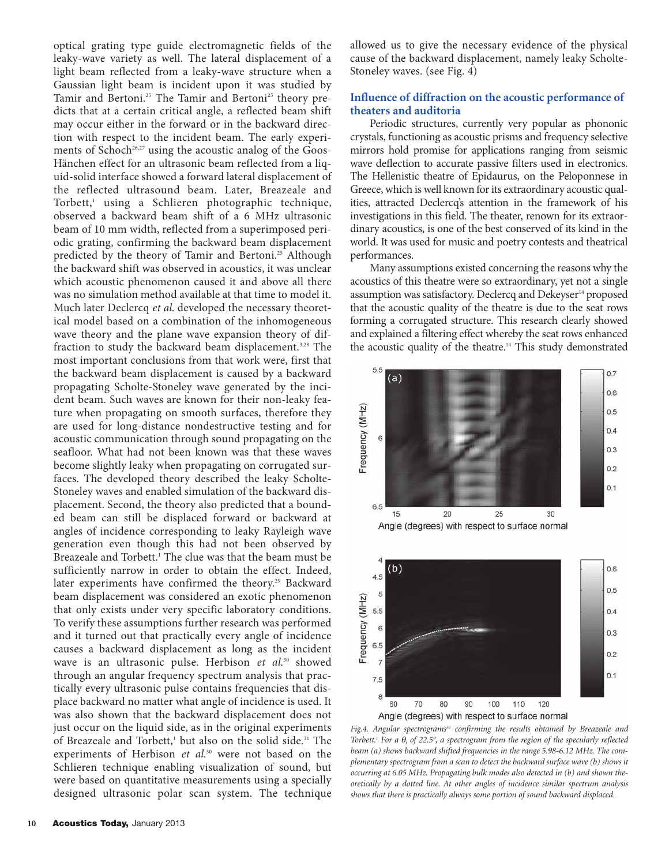optical grating type guide electromagnetic fields of the leaky-wave variety as well. The lateral displacement of a light beam reflected from a leaky-wave structure when a Gaussian light beam is incident upon it was studied by Tamir and Bertoni.<sup>25</sup> The Tamir and Bertoni<sup>25</sup> theory predicts that at a certain critical angle, a reflected beam shift may occur either in the forward or in the backward direction with respect to the incident beam. The early experiments of Schoch<sup>26,27</sup> using the acoustic analog of the Goos-Hänchen effect for an ultrasonic beam reflected from a liquid-solid interface showed a forward lateral displacement of the reflected ultrasound beam. Later, Breazeale and Torbett,<sup>1</sup> using a Schlieren photographic technique, observed a backward beam shift of a 6 MHz ultrasonic beam of 10 mm width, reflected from a superimposed periodic grating, confirming the backward beam displacement predicted by the theory of Tamir and Bertoni.<sup>25</sup> Although the backward shift was observed in acoustics, it was unclear which acoustic phenomenon caused it and above all there was no simulation method available at that time to model it. Much later Declercq *et al*. developed the necessary theoretical model based on a combination of the inhomogeneous wave theory and the plane wave expansion theory of diffraction to study the backward beam displacement.<sup>3,28</sup> The most important conclusions from that work were, first that the backward beam displacement is caused by a backward propagating Scholte-Stoneley wave generated by the incident beam. Such waves are known for their non-leaky feature when propagating on smooth surfaces, therefore they are used for long-distance nondestructive testing and for acoustic communication through sound propagating on the seafloor. What had not been known was that these waves become slightly leaky when propagating on corrugated surfaces. The developed theory described the leaky Scholte-Stoneley waves and enabled simulation of the backward displacement. Second, the theory also predicted that a bounded beam can still be displaced forward or backward at angles of incidence corresponding to leaky Rayleigh wave generation even though this had not been observed by Breazeale and Torbett.<sup>1</sup> The clue was that the beam must be sufficiently narrow in order to obtain the effect. Indeed, later experiments have confirmed the theory.<sup>29</sup> Backward beam displacement was considered an exotic phenomenon that only exists under very specific laboratory conditions. To verify these assumptions further research was performed and it turned out that practically every angle of incidence causes a backward displacement as long as the incident wave is an ultrasonic pulse. Herbison *et al*. <sup>30</sup> showed through an angular frequency spectrum analysis that practically every ultrasonic pulse contains frequencies that displace backward no matter what angle of incidence is used. It was also shown that the backward displacement does not just occur on the liquid side, as in the original experiments of Breazeale and Torbett,<sup>1</sup> but also on the solid side.<sup>31</sup> The experiments of Herbison *et al*. <sup>30</sup> were not based on the Schlieren technique enabling visualization of sound, but were based on quantitative measurements using a specially designed ultrasonic polar scan system. The technique

allowed us to give the necessary evidence of the physical cause of the backward displacement, namely leaky Scholte-Stoneley waves. (see Fig. 4)

## **Influence of diffraction on the acoustic performance of theaters and auditoria**

Periodic structures, currently very popular as phononic crystals, functioning as acoustic prisms and frequency selective mirrors hold promise for applications ranging from seismic wave deflection to accurate passive filters used in electronics. The Hellenistic theatre of Epidaurus, on the Peloponnese in Greece, which is well known for its extraordinary acoustic qualities, attracted Declercq's attention in the framework of his investigations in this field. The theater, renown for its extraordinary acoustics, is one of the best conserved of its kind in the world. It was used for music and poetry contests and theatrical performances.

Many assumptions existed concerning the reasons why the acoustics of this theatre were so extraordinary, yet not a single assumption was satisfactory. Declercq and Dekeyser<sup>14</sup> proposed that the acoustic quality of the theatre is due to the seat rows forming a corrugated structure. This research clearly showed and explained a filtering effect whereby the seat rows enhanced the acoustic quality of the theatre.<sup>14</sup> This study demonstrated



Fig.4. Angular spectrograms<sup>30</sup> confirming the results obtained by Breazeale and *Torbett.<sup>1</sup> For a*  $\theta$ *<sub>i</sub> of 22.5°, a spectrogram from the region of the specularly reflected beam (a) shows backward shifted frequencies in the range 5.98-6.12 MHz. The complementary spectrogram from a scan to detect the backward surface wave (b) shows it occurring at 6.05 MHz. Propagating bulk modes also detected in (b) and shown theoretically by a dotted line. At other angles of incidence similar spectrum analysis shows that there is practically always some portion of sound backward displaced.*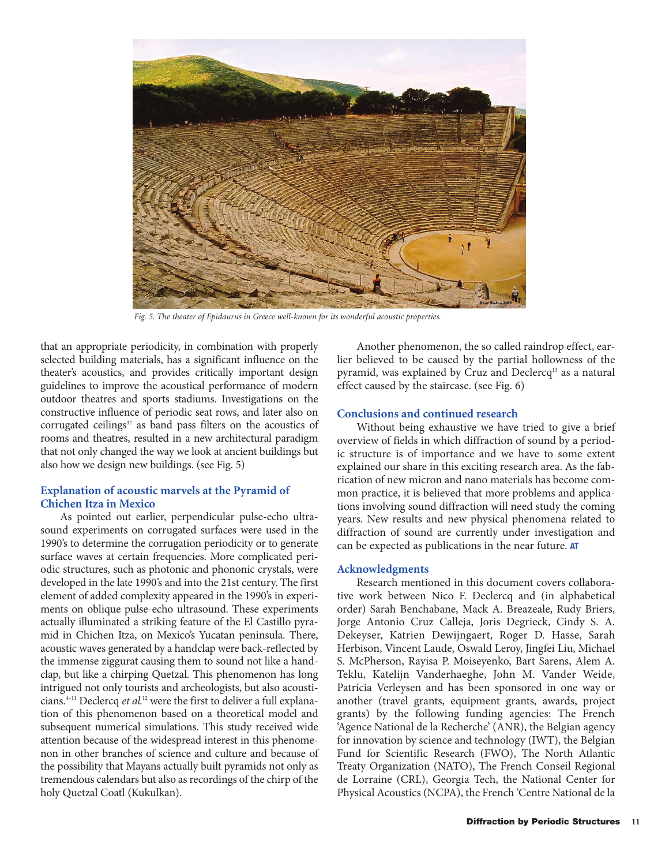

*Fig. 5. The theater of Epidaurus in Greece well-known for its wonderful acoustic properties.*

that an appropriate periodicity, in combination with properly selected building materials, has a significant influence on the theater's acoustics, and provides critically important design guidelines to improve the acoustical performance of modern outdoor theatres and sports stadiums. Investigations on the constructive influence of periodic seat rows, and later also on corrugated ceilings<sup>32</sup> as band pass filters on the acoustics of rooms and theatres, resulted in a new architectural paradigm that not only changed the way we look at ancient buildings but also how we design new buildings. (see Fig. 5)

## **Explanation of acoustic marvels at the Pyramid of Chichen Itza in Mexico**

As pointed out earlier, perpendicular pulse-echo ultrasound experiments on corrugated surfaces were used in the 1990's to determine the corrugation periodicity or to generate surface waves at certain frequencies. More complicated periodic structures, such as photonic and phononic crystals, were developed in the late 1990's and into the 21st century. The first element of added complexity appeared in the 1990's in experiments on oblique pulse-echo ultrasound. These experiments actually illuminated a striking feature of the El Castillo pyramid in Chichen Itza, on Mexico's Yucatan peninsula. There, acoustic waves generated by a handclap were back-reflected by the immense ziggurat causing them to sound not like a handclap, but like a chirping Quetzal. This phenomenon has long intrigued not only tourists and archeologists, but also acousticians.4–11 Declercq *et al*. <sup>12</sup> were the first to deliver a full explanation of this phenomenon based on a theoretical model and subsequent numerical simulations. This study received wide attention because of the widespread interest in this phenomenon in other branches of science and culture and because of the possibility that Mayans actually built pyramids not only as tremendous calendars but also as recordings of the chirp of the holy Quetzal Coatl (Kukulkan).

Another phenomenon, the so called raindrop effect, earlier believed to be caused by the partial hollowness of the pyramid, was explained by Cruz and Declercq<sup>13</sup> as a natural effect caused by the staircase. (see Fig. 6)

## **Conclusions and continued research**

Without being exhaustive we have tried to give a brief overview of fields in which diffraction of sound by a periodic structure is of importance and we have to some extent explained our share in this exciting research area. As the fabrication of new micron and nano materials has become common practice, it is believed that more problems and applications involving sound diffraction will need study the coming years. New results and new physical phenomena related to diffraction of sound are currently under investigation and can be expected as publications in the near future. **AT**

## **Acknowledgments**

Research mentioned in this document covers collaborative work between Nico F. Declercq and (in alphabetical order) Sarah Benchabane, Mack A. Breazeale, Rudy Briers, Jorge Antonio Cruz Calleja, Joris Degrieck, Cindy S. A. Dekeyser, Katrien Dewijngaert, Roger D. Hasse, Sarah Herbison, Vincent Laude, Oswald Leroy, Jingfei Liu, Michael S. McPherson, Rayisa P. Moiseyenko, Bart Sarens, Alem A. Teklu, Katelijn Vanderhaeghe, John M. Vander Weide, Patricia Verleysen and has been sponsored in one way or another (travel grants, equipment grants, awards, project grants) by the following funding agencies: The French 'Agence National de la Recherche' (ANR), the Belgian agency for innovation by science and technology (IWT), the Belgian Fund for Scientific Research (FWO), The North Atlantic Treaty Organization (NATO), The French Conseil Regional de Lorraine (CRL), Georgia Tech, the National Center for Physical Acoustics (NCPA), the French 'Centre National de la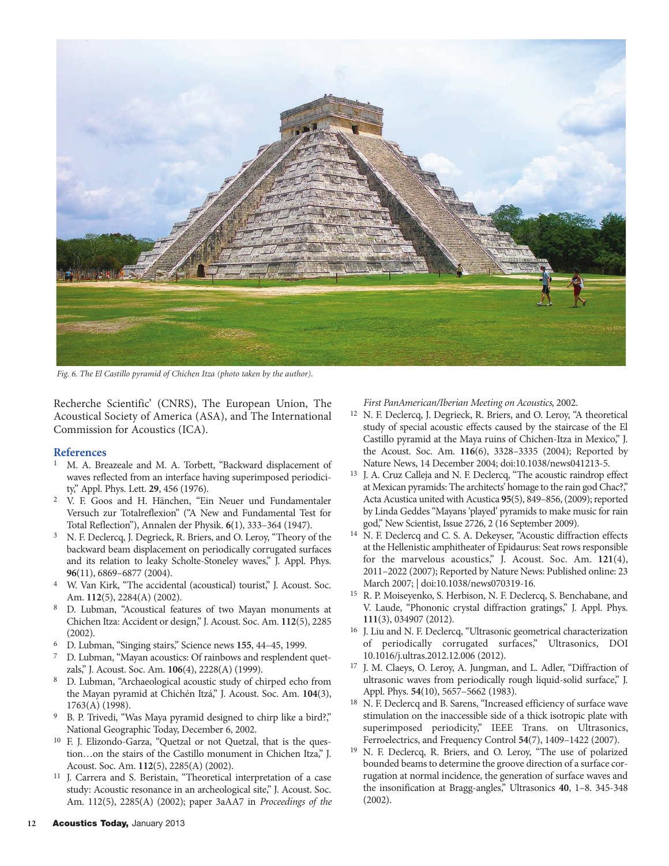

*Fig. 6. The El Castillo pyramid of Chichen Itza (photo taken by the author).*

Recherche Scientific' (CNRS), The European Union, The Acoustical Society of America (ASA), and The International Commission for Acoustics (ICA).

#### **References**

- 1 M. A. Breazeale and M. A. Torbett, "Backward displacement of waves reflected from an interface having superimposed periodicity," Appl. Phys. Lett. **29**, 456 (1976).
- 2 V. F. Goos and H. Hänchen, "Ein Neuer und Fundamentaler Versuch zur Totalreflexion" ("A New and Fundamental Test for Total Reflection"), Annalen der Physik. **6**(1), 333–364 (1947).
- 3 N. F. Declercq, J. Degrieck, R. Briers, and O. Leroy, "Theory of the backward beam displacement on periodically corrugated surfaces and its relation to leaky Scholte-Stoneley waves," J. Appl. Phys. **96**(11), 6869–6877 (2004).<br><sup>4</sup> W. Van Kirk, "The accidental (acoustical) tourist," J. Acoust. Soc.
- Am. **112**(5), 2284(A) (2002).
- 8 D. Lubman, "Acoustical features of two Mayan monuments at Chichen Itza: Accident or design," J. Acoust. Soc. Am. **112**(5), 2285 (2002).
- 6 D. Lubman, "Singing stairs," Science news **155**, 44–45, 1999.
- 7 D. Lubman, "Mayan acoustics: Of rainbows and resplendent quetzals," J. Acoust. Soc. Am. **106**(4), 2228(A) (1999).
- 8 D. Lubman, "Archaeological acoustic study of chirped echo from the Mayan pyramid at Chichén Itzá," J. Acoust. Soc. Am. **104**(3), 1763(A) (1998).
- 9 B. P. Trivedi, "Was Maya pyramid designed to chirp like a bird?," National Geographic Today, December 6, 2002.
- 10 F. J. Elizondo-Garza, "Quetzal or not Quetzal, that is the question…on the stairs of the Castillo monument in Chichen Itza," J. Acoust. Soc. Am. **112**(5), 2285(A) (2002).
- 11 J. Carrera and S. Beristain, "Theoretical interpretation of a case study: Acoustic resonance in an archeological site," J. Acoust. Soc. Am. 112(5), 2285(A) (2002); paper 3aAA7 in *Proceedings of the*

*First PanAmerican/Iberian Meeting on Acoustics*, 2002.

- 12 N. F. Declercq, J. Degrieck, R. Briers, and O. Leroy, "A theoretical study of special acoustic effects caused by the staircase of the El Castillo pyramid at the Maya ruins of Chichen-Itza in Mexico," J. the Acoust. Soc. Am. **116**(6), 3328–3335 (2004); Reported by Nature News, 14 December 2004; doi:10.1038/news041213-5.
- J. A. Cruz Calleja and N. F. Declercq, "The acoustic raindrop effect at Mexican pyramids: The architects' homage to the rain god Chac?," Acta Acustica united with Acustica **95**(5), 849–856, (2009); reported by Linda Geddes "Mayans 'played' pyramids to make music for rain god," New Scientist, Issue 2726, 2 (16 September 2009).
- 14 N. F. Declercq and C. S. A. Dekeyser, "Acoustic diffraction effects at the Hellenistic amphitheater of Epidaurus: Seat rows responsible for the marvelous acoustics," J. Acoust. Soc. Am. **121**(4), 2011–2022 (2007); Reported by Nature News: Published online: 23 March 2007; | doi:10.1038/news070319-16.
- R. P. Moiseyenko, S. Herbison, N. F. Declercq, S. Benchabane, and V. Laude, "Phononic crystal diffraction gratings," J. Appl. Phys. **111**(3), 034907 (2012).
- 16 J. Liu and N. F. Declercq, "Ultrasonic geometrical characterization of periodically corrugated surfaces," Ultrasonics, DOI 10.1016/j.ultras.2012.12.006 (2012).
- J. M. Claeys, O. Leroy, A. Jungman, and L. Adler, "Diffraction of ultrasonic waves from periodically rough liquid-solid surface," J. Appl. Phys. **54**(10), 5657–5662 (1983).
- 18 N. F. Declercq and B. Sarens, "Increased efficiency of surface wave stimulation on the inaccessible side of a thick isotropic plate with superimposed periodicity," IEEE Trans. on Ultrasonics, Ferroelectrics, and Frequency Control **54**(7), 1409–1422 (2007).
- N. F. Declercq, R. Briers, and O. Leroy, "The use of polarized bounded beams to determine the groove direction of a surface corrugation at normal incidence, the generation of surface waves and the insonification at Bragg-angles," Ultrasonics **40**, 1–8. 345-348 (2002).